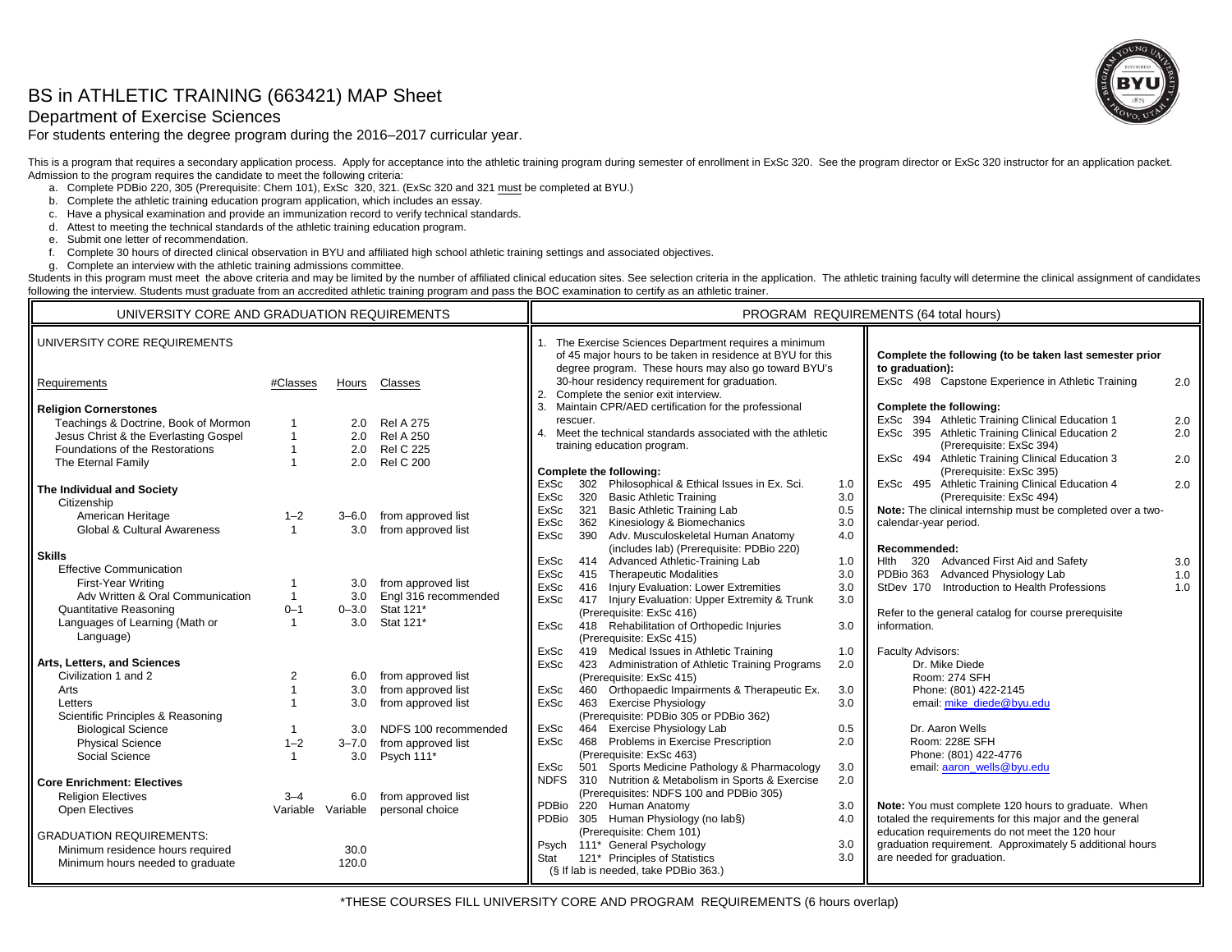# BS in ATHLETIC TRAINING (663421) MAP Sheet

## Department of Exercise Sciences

For students entering the degree program during the 2016–2017 curricular year.



This is a program that requires a secondary application process. Apply for acceptance into the athletic training program during semester of enrollment in ExSc 320. See the program director or ExSc 320 instructor for an app Admission to the program requires the candidate to meet the following criteria:

- a. Complete PDBio 220, 305 (Prerequisite: Chem 101), ExSc 320, 321. (ExSc 320 and 321 must be completed at BYU.)
- b. Complete the athletic training education program application, which includes an essay.
- c. Have a physical examination and provide an immunization record to verify technical standards.
- d. Attest to meeting the technical standards of the athletic training education program.
- e. Submit one letter of recommendation.
- f. Complete 30 hours of directed clinical observation in BYU and affiliated high school athletic training settings and associated objectives.
- g. Complete an interview with the athletic training admissions committee.

Students in this program must meet the above criteria and may be limited by the number of affiliated clinical education sites. See selection criteria in the application. The athletic training faculty will determine the cli following the interview. Students must graduate from an accredited athletic training program and pass the BOC examination to certify as an athletic trainer.

| UNIVERSITY CORE AND GRADUATION REQUIREMENTS |                |                   |                      | PROGRAM REQUIREMENTS (64 total hours)                                                                                                                                                                                                                                                              |                                                         |  |  |
|---------------------------------------------|----------------|-------------------|----------------------|----------------------------------------------------------------------------------------------------------------------------------------------------------------------------------------------------------------------------------------------------------------------------------------------------|---------------------------------------------------------|--|--|
| UNIVERSITY CORE REQUIREMENTS                |                |                   |                      | The Exercise Sciences Department requires a minimum<br>of 45 major hours to be taken in residence at BYU for this<br>degree program. These hours may also go toward BYU's<br>to graduation):<br>30-hour residency requirement for graduation.<br>ExSc 498 Capstone Experience in Athletic Training | Complete the following (to be taken last semester prior |  |  |
| Requirements                                | #Classes       | Hours             | Classes              | Complete the senior exit interview.                                                                                                                                                                                                                                                                | 2.0                                                     |  |  |
| <b>Religion Cornerstones</b>                |                |                   |                      | 3. Maintain CPR/AED certification for the professional<br>Complete the following:                                                                                                                                                                                                                  |                                                         |  |  |
| Teachings & Doctrine, Book of Mormon        |                | 2.0               | <b>Rel A 275</b>     | ExSc 394 Athletic Training Clinical Education 1<br>rescuer.<br>4. Meet the technical standards associated with the athletic                                                                                                                                                                        | 2.0                                                     |  |  |
| Jesus Christ & the Everlasting Gospel       |                | 2.0               | <b>Rel A 250</b>     | ExSc 395 Athletic Training Clinical Education 2<br>(Prerequisite: ExSc 394)<br>training education program.                                                                                                                                                                                         | 2.0                                                     |  |  |
| Foundations of the Restorations             |                | 2.0               | <b>Rel C 225</b>     | ExSc 494 Athletic Training Clinical Education 3                                                                                                                                                                                                                                                    | 2.0                                                     |  |  |
| The Eternal Family                          |                | 2.0               | <b>Rel C 200</b>     | (Prerequisite: ExSc 395)<br>Complete the following:                                                                                                                                                                                                                                                |                                                         |  |  |
| The Individual and Society                  |                |                   |                      | 302 Philosophical & Ethical Issues in Ex. Sci.<br>ExSc 495 Athletic Training Clinical Education 4<br>ExSc<br>1.0                                                                                                                                                                                   | 2.0                                                     |  |  |
| Citizenship                                 |                |                   |                      | 3.0<br><b>ExSc</b><br>320 Basic Athletic Training<br>(Prerequisite: ExSc 494)                                                                                                                                                                                                                      |                                                         |  |  |
| American Heritage                           | $1 - 2$        | $3 - 6.0$         | from approved list   | Note: The clinical internship must be completed over a two-<br>321 Basic Athletic Training Lab<br>ExSc<br>0.5                                                                                                                                                                                      |                                                         |  |  |
| Global & Cultural Awareness                 |                | 3.0               | from approved list   | 362 Kinesiology & Biomechanics<br>calendar-year period.<br><b>ExSc</b><br>3.0                                                                                                                                                                                                                      |                                                         |  |  |
|                                             |                |                   |                      | 390 Adv. Musculoskeletal Human Anatomy<br>4.0<br><b>ExSc</b>                                                                                                                                                                                                                                       |                                                         |  |  |
| <b>Skills</b>                               |                |                   |                      | (includes lab) (Prerequisite: PDBio 220)<br>Recommended:                                                                                                                                                                                                                                           |                                                         |  |  |
| <b>Effective Communication</b>              |                |                   |                      | 414 Advanced Athletic-Training Lab<br>Hith 320 Advanced First Aid and Safety<br>ExSc<br>1.0                                                                                                                                                                                                        | 3.0                                                     |  |  |
| <b>First-Year Writing</b>                   |                | 3.0               | from approved list   | 415 Therapeutic Modalities<br>PDBio 363 Advanced Physiology Lab<br>ExSc<br>3.0                                                                                                                                                                                                                     | 1.0                                                     |  |  |
| Adv Written & Oral Communication            | $\mathbf{1}$   | 3.0               | Engl 316 recommended | 416 Injury Evaluation: Lower Extremities<br>3.0<br>StDev 170 Introduction to Health Professions<br><b>ExSc</b><br>417 Injury Evaluation: Upper Extremity & Trunk<br>ExSc<br>3.0                                                                                                                    | 1.0                                                     |  |  |
| <b>Quantitative Reasoning</b>               | $0 - 1$        | $0 - 3.0$         | Stat 121*            | (Prerequisite: ExSc 416)<br>Refer to the general catalog for course prerequisite                                                                                                                                                                                                                   |                                                         |  |  |
| Languages of Learning (Math or              |                | 3.0               | Stat 121*            | 418 Rehabilitation of Orthopedic Injuries<br>information.<br><b>ExSc</b><br>3.0                                                                                                                                                                                                                    |                                                         |  |  |
| Language)                                   |                |                   |                      | (Prerequisite: ExSc 415)                                                                                                                                                                                                                                                                           |                                                         |  |  |
|                                             |                |                   |                      | 419 Medical Issues in Athletic Training<br>ExSc<br>1.0<br>Faculty Advisors:                                                                                                                                                                                                                        |                                                         |  |  |
| Arts, Letters, and Sciences                 |                |                   |                      | 423 Administration of Athletic Training Programs<br>2.0<br>ExSc<br>Dr. Mike Diede                                                                                                                                                                                                                  |                                                         |  |  |
| Civilization 1 and 2                        | $\overline{2}$ | 6.0               | from approved list   | (Prerequisite: ExSc 415)<br>Room: 274 SFH                                                                                                                                                                                                                                                          |                                                         |  |  |
| Arts                                        |                | 3.0               | from approved list   | 460 Orthopaedic Impairments & Therapeutic Ex.<br>Phone: (801) 422-2145<br>ExSc<br>3.0                                                                                                                                                                                                              |                                                         |  |  |
| Letters                                     |                | 3.0               | from approved list   | 463 Exercise Physiology<br><b>ExSc</b><br>3.0<br>email: mike_diede@byu.edu                                                                                                                                                                                                                         |                                                         |  |  |
| Scientific Principles & Reasoning           |                |                   |                      | (Prerequisite: PDBio 305 or PDBio 362)                                                                                                                                                                                                                                                             |                                                         |  |  |
| <b>Biological Science</b>                   |                | 3.0               | NDFS 100 recommended | 464 Exercise Physiology Lab<br>Dr. Aaron Wells<br>ExSc<br>0.5                                                                                                                                                                                                                                      |                                                         |  |  |
| <b>Physical Science</b>                     | $1 - 2$        | $3 - 7.0$         | from approved list   | 468 Problems in Exercise Prescription<br>Room: 228E SFH<br>ExSc<br>2.0                                                                                                                                                                                                                             |                                                         |  |  |
| Social Science                              |                | 3.0               | Psych 111*           | (Prerequisite: ExSc 463)<br>Phone: (801) 422-4776                                                                                                                                                                                                                                                  |                                                         |  |  |
|                                             |                |                   |                      | 501 Sports Medicine Pathology & Pharmacology<br>email: aaron_wells@byu.edu<br>ExSc<br>3.0                                                                                                                                                                                                          |                                                         |  |  |
| Core Enrichment: Electives                  |                |                   |                      | NDFS 310 Nutrition & Metabolism in Sports & Exercise<br>2.0<br>(Prerequisites: NDFS 100 and PDBio 305)                                                                                                                                                                                             |                                                         |  |  |
| <b>Religion Electives</b>                   | $3 - 4$        | 6.0               | from approved list   | PDBio 220 Human Anatomy<br>Note: You must complete 120 hours to graduate. When<br>3.0                                                                                                                                                                                                              |                                                         |  |  |
| Open Electives                              |                | Variable Variable | personal choice      | PDBio 305 Human Physiology (no lab§)<br>totaled the requirements for this major and the general<br>4.0                                                                                                                                                                                             |                                                         |  |  |
|                                             |                |                   |                      | (Prerequisite: Chem 101)<br>education requirements do not meet the 120 hour                                                                                                                                                                                                                        |                                                         |  |  |
| <b>GRADUATION REQUIREMENTS:</b>             |                |                   |                      | Psych 111* General Psychology<br>graduation requirement. Approximately 5 additional hours<br>3.0                                                                                                                                                                                                   |                                                         |  |  |
| Minimum residence hours required            |                | 30.0              |                      | 3.0<br>are needed for graduation.<br>121* Principles of Statistics<br>Stat                                                                                                                                                                                                                         |                                                         |  |  |
| Minimum hours needed to graduate            |                | 120.0             |                      | (§ If lab is needed, take PDBio 363.)                                                                                                                                                                                                                                                              |                                                         |  |  |
|                                             |                |                   |                      |                                                                                                                                                                                                                                                                                                    |                                                         |  |  |